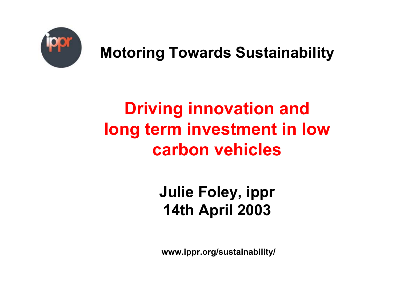

### **Motoring Towards Sustainability**

# **Driving innovation and long term investment in low carbon vehicles**

### **Julie Foley, ippr 14th April 2003**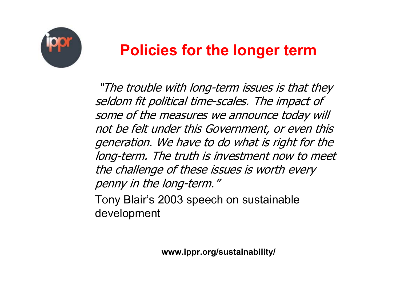

#### **Policies for the longer term**

"The trouble with long-term issues is that they seldom fit political time-scales. The impact of some of the measures we announce today will not be felt under this Government, or even this generation. We have to do what is right for the long-term. The truth is investment now to meet the challenge of these issues is worth every penny in the long-term."

Tony Blair's 2003 speech on sustainable development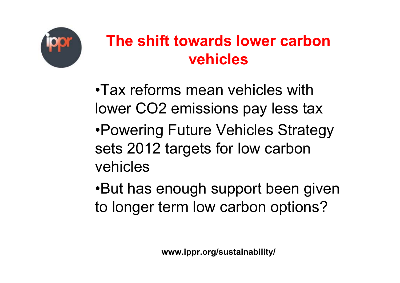

#### **The shift towards lower carbon vehicles**

•Tax reforms mean vehicles with lower CO2 emissions pay less tax •Powering Future Vehicles Strategy sets 2012 targets for low carbon vehicles

•But has enough support been given to longer term low carbon options?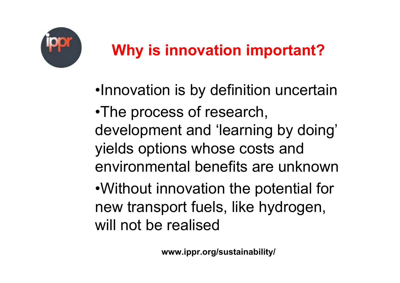

## **Why is innovation important?**

- •Innovation is by definition uncertain
- •The process of research, development and 'learning by doing' yields options whose costs and environmental benefits are unknown

•Without innovation the potential for new transport fuels, like hydrogen, will not be realised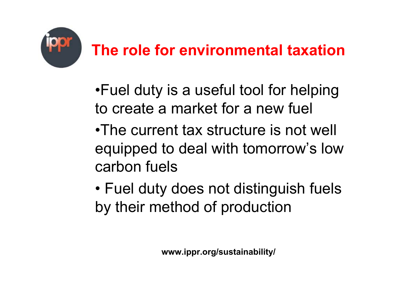

### **The role for environmental taxation**

- •Fuel duty is a useful tool for helping to create a market for a new fuel
- •The current tax structure is not well equipped to deal with tomorrow's low carbon fuels
- • Fuel duty does not distinguish fuels by their method of production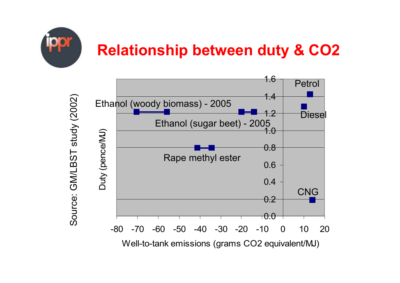

Source: GM/LBST study (2002)

Source: GM/LBST study (2002)

### **Relationship between duty & CO2**

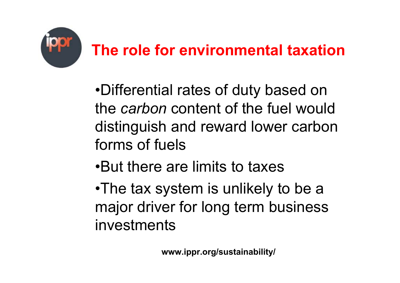

### **The role for environmental taxation**

- •Differential rates of duty based on the *carbon* content of the fuel would distinguish and reward lower carbon forms of fuels
- •But there are limits to taxes
- •The tax system is unlikely to be a major driver for long term business investments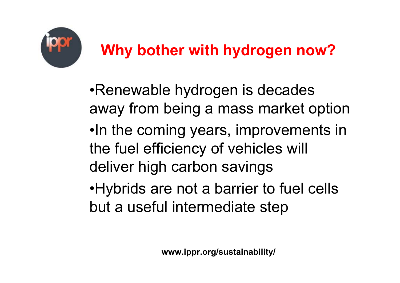

•Renewable hydrogen is decades away from being a mass market option •In the coming years, improvements in the fuel efficiency of vehicles will deliver high carbon savings •Hybrids are not a barrier to fuel cells

but a useful intermediate step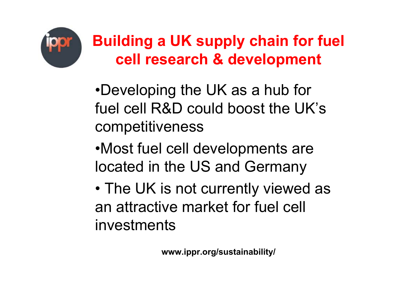

### **Building a UK supply chain for fuel cell research & development**

- •Developing the UK as a hub for fuel cell R&D could boost the UK's competitiveness
- •Most fuel cell developments are located in the US and Germany
- •• The UK is not currently viewed as an attractive market for fuel cell investments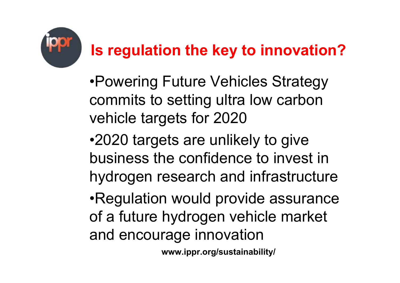

### **Is regulation the key to innovation?**

•Powering Future Vehicles Strategy commits to setting ultra low carbon vehicle targets for 2020

•2020 targets are unlikely to give business the confidence to invest in hydrogen research and infrastructure

•Regulation would provide assurance of a future hydrogen vehicle market and encourage innovation